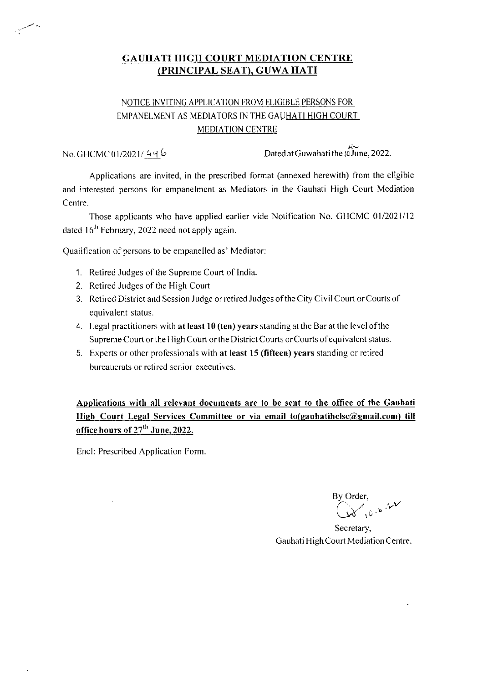#### GAUHATI HIGH COURT MEDIATION CENTRE (PRINCIPAL SEAT), GUWA HATI

### NOTICE INVITING APPLICATION FROM ELICIBLE PERSONS FOR EMPANELMENT AS MEDIATORS IN THE GAUHATI HIGH COURT MEDIATION CENTRE

### No GHCMC0l/2O2l/ 44b

 $\rm{Dated}$  at Guwahati the  $\stackrel{\text{def}}{\text{O} \text{June}}$ , 2022.

Applications are invited, in the prescribed format (annexed herewith) from the eligible and interested persons for empanelment as Mediators in the Gauhati High Court Mediation Centre.

Those applicants who have applied earlier vide Notification No. GHCMC 01/2021/12 dated  $16<sup>th</sup>$  February, 2022 need not apply again.

Qualification of persons to be empanelled as' Mediator

- 1. Retired Judges of the Supreme Court of India.
- 2. Retired Judges of the High Court
- 3. Retired District and Session Judge or retired Judges of the City Civil Court or Courts of cquivalent status.
- 4. Legal practitioners with at least  $10$  (ten) years standing at the Bar at the level of the Supreme Court or the High Court or the District Courts or Courts of equivalent status.
- 5. Experts or other professionals with at least 15 (fifteen) years standing or retired bureaucrats or retired senior executives.

Applications with all relevant documents are to be sent to the office of the Gauhati High Court Legal Services Committee or via email to(gauhatihclsc@gmail.com) till office hours of 27<sup>th</sup> June, 2022.

Encl: Prescribed Application Form

By Order,  $\sim$ . .vv

Secretary, Gauhati High Court Mediation Centre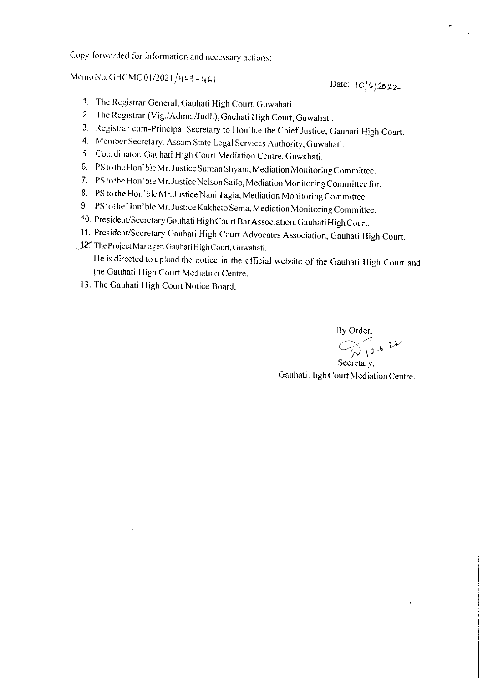Copy forwarded for information and necessary actions:

# Mcmo No. GHCMC01/2021/447 - 461<br>Date:  $10/6/26$  22

- 1. The Registrar General, Gauhati High Court, Guwahati.
- 2. 'l'hc Registrar (Vig./Admn./Judl.), Gauhati High Court, Cuwahati.
- 3. Registrar-cum-Principal Secretary to Hon'ble the Chief Justice, Gauhati High Court.
- 4. Member Secretary, Assam State Legal Services Authority, Guwahati.
- 5. Coordinator, Gauhati High Court Mediation Centre, Guwahati.
- 6. PS to the Hon'ble Mr. Justice Suman Shyam, Mediation Monitoring Committee.
- 7. PS to the Hon'ble Mr. Justice Nelson Sailo, Mediation Monitoring Committee for.
- 8. PS to the Hon'ble Mr. Justice Nani Tagia, Mediation Monitoring Committee.
- 9. PS to the Hon'ble Mr. Justice Kakheto Sema, Mediation Monitoring Committee.
- 10. President/Secretary Gauhati High Court Bar Association, Gauhati High Court.
- 11. President/Secretary Gauhati High Court Advocates Association, Gauhati High Court.
- ,  $12$ . The Project Manager, Gauhati High Court, Guwahati. He is directed to upload the notice in the official website of the Gauhati High Court and the Cauhati High Court Mediation Centre.
	- 13. The Cauhati High Court Notice Board.

By Order,  $\omega$  10.6.22 Secretary,

Gauhati High Court Mediation Centre.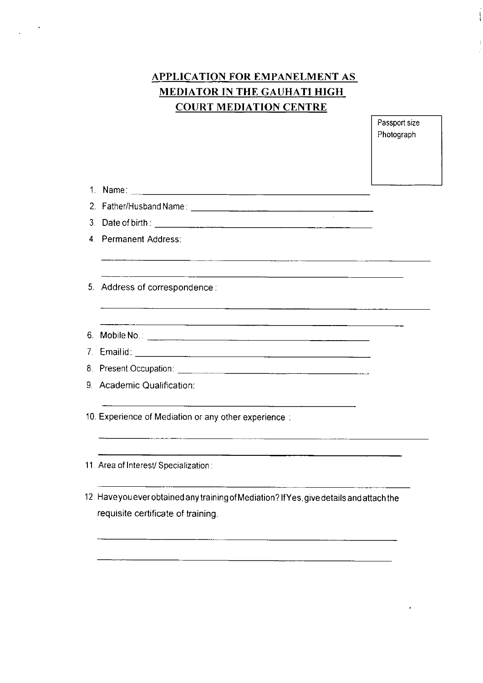## APPLICATION FOR EMPANELMENT AS MEDIATOR IN THE GAUHATI HIGH COURT MEDIATION CENTRE

 $\sim$   $\sim$ 

Passport size Photograph

 $\frac{1}{4}$ 

 $\mathbf{j}$ 

| 3. Date of birth: 2008 and 2008 and 2008 and 2008 and 2008 and 2008 and 2008 and 2008 and 2008 and 2008 and 20                                                                                                                                                                |  |
|-------------------------------------------------------------------------------------------------------------------------------------------------------------------------------------------------------------------------------------------------------------------------------|--|
| 4. Permanent Address:                                                                                                                                                                                                                                                         |  |
| <u> Alexandro de la contrada de la contrada de la contrada de la contrada de la contrada de la contrada de la con</u><br>5. Address of correspondence:<br><u> 1989 - Johann John Stone, mars eta industrial eta industrial eta industrial eta industrial eta industrial e</u> |  |
|                                                                                                                                                                                                                                                                               |  |
|                                                                                                                                                                                                                                                                               |  |
|                                                                                                                                                                                                                                                                               |  |
| 9. Academic Qualification:                                                                                                                                                                                                                                                    |  |
| 10. Experience of Mediation or any other experience:                                                                                                                                                                                                                          |  |
| 11. Area of Interest/ Specialization :                                                                                                                                                                                                                                        |  |
| 12. Have you ever obtained any training of Mediation? If Yes, give details and attach the<br>requisite certificate of training.                                                                                                                                               |  |